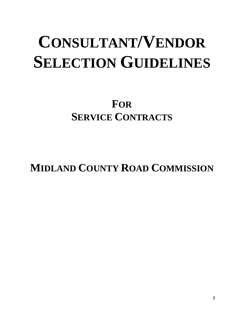# **CONSULTANT/VENDOR SELECTION GUIDELINES**

**FOR SERVICE CONTRACTS**

**MIDLAND COUNTY ROAD COMMISSION**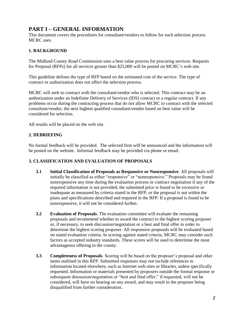# **PART I – GENERAL INFORMATION**

This document covers the procedures for consultant/vendors to follow for each selection process MCRC uses.

# **1. BACKGROUND**

The Midland County Road Commission uses a best value process for procuring services. Requests for Proposal (RFPs) for all services greater than \$25,000 will be posted on MCRC's web site.

This guideline defines the type of RFP based on the estimated cost of the service. The type of contract or authorization does not affect the selection process.

MCRC will seek to contract with the consultant/vendor who is selected. This contract may be an authorization under an Indefinite Delivery of Services (IDS) contract or a regular contract. If any problems occur during the contracting process that do not allow MCRC to contract with the selected consultant/vendor, the next highest qualified consultant/vendor based on best value will be considered for selection.

All results will be placed on the web site.

# **2. DEBRIEFING**

No formal feedback will be provided. The selected firm will be announced and the information will be posted on the website. Informal feedback may be provided via phone or email.

## **3. CLASSIFICATION AND EVALUATION OF PROPOSALS**

- **3.1 Initial Classification of Proposals as Responsive or Nonresponsive**. All proposals will initially be classified as either "responsive" or "nonresponsive." Proposals may be found nonresponsive any time during the evaluation process or contract negotiation if any of the required information is not provided; the submitted price is found to be excessive or inadequate as measured by criteria stated in the RFP; or the proposal is not within the plans and specifications described and required in the RFP. If a proposal is found to be nonresponsive, it will not be considered further.
- **3.2 Evaluation of Proposals**. The evaluation committee will evaluate the remaining proposals and recommend whether to award the contract to the highest scoring proposer or, if necessary, to seek discussion/negotiation or a best and final offer in order to determine the highest scoring proposer. All responsive proposals will be evaluated based on stated evaluation criteria. In scoring against stated criteria, MCRC may consider such factors as accepted industry standards. These scores will be used to determine the most advantageous offering to the county.
- **3.3 Completeness of Proposals**. Scoring will be based on the proposer's proposal and other items outlined in this RFP. Submitted responses may not include references to information located elsewhere, such as Internet web sites or libraries, unless specifically requested. Information or materials presented by proposers outside the formal response or subsequent discussion/negotiation or "best and final offer," if requested, will not be considered, will have no bearing on any award, and may result in the proposer being disqualified from further consideration.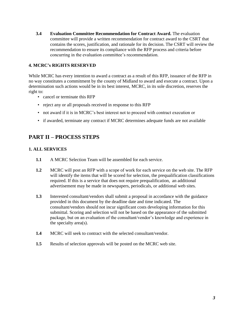**3.4 Evaluation Committee Recommendation for Contract Award.** The evaluation committee will provide a written recommendation for contract award to the CSRT that contains the scores, justification, and rationale for its decision. The CSRT will review the recommendation to ensure its compliance with the RFP process and criteria before concurring in the evaluation committee's recommendation.

# **4. MCRC's RIGHTS RESERVED**

While MCRC has every intention to award a contract as a result of this RFP, issuance of the RFP in no way constitutes a commitment by the county of Midland to award and execute a contract. Upon a determination such actions would be in its best interest, MCRC, in its sole discretion, reserves the right to:

- cancel or terminate this RFP
- reject any or all proposals received in response to this RFP
- not award if it is in MCRC's best interest not to proceed with contract execution or
- if awarded, terminate any contract if MCRC determines adequate funds are not available

# **PART II – PROCESS STEPS**

## **1. ALL SERVICES**

- **1.1** A MCRC Selection Team will be assembled for each service.
- **1.2** MCRC will post an RFP with a scope of work for each service on the web site. The RFP will identify the items that will be scored for selection, the prequalification classifications required. If this is a service that does not require prequalification, an additional advertisement may be made in newspapers, periodicals, or additional web sites.
- **1.3** Interested consultant/vendors shall submit a proposal in accordance with the guidance provided in this document by the deadline date and time indicated. The consultant/vendors should not incur significant costs developing information for this submittal. Scoring and selection will not be based on the appearance of the submitted package, but on an evaluation of the consultant/vendor's knowledge and experience in the specialty area(s).
- **1.4** MCRC will seek to contract with the selected consultant/vendor.
- **1.5** Results of selection approvals will be posted on the MCRC web site.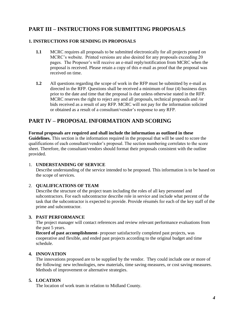# **PART III – INSTRUCTIONS FOR SUBMITTING PROPOSALS**

# **1. INSTRUCTIONS FOR SENDING IN PROPOSALS**

- **1.1** MCRC requires all proposals to be submitted electronically for all projects posted on MCRC's website. Printed versions are also desired for any proposals exceeding 20 pages. The Proposer's will receive an e-mail reply/notification from MCRC when the proposal is received. Please retain a copy of this e-mail as proof that the proposal was received on time.
- **1.2** All questions regarding the scope of work in the RFP must be submitted by e-mail as directed in the RFP. Questions shall be received a minimum of four (4) business days prior to the date and time that the proposal is due unless otherwise stated in the RFP. MCRC reserves the right to reject any and all proposals, technical proposals and /or bids received as a result of any RFP. MCRC will not pay for the information solicited or obtained as a result of a consultant/vendor's response to any RFP.

# **PART IV – PROPOSAL INFORMATION AND SCORING**

#### **Formal proposals are required and shall include the information as outlined in these Guidelines.** This section is the information required in the proposal that will be used to score the qualifications of each consultant/vendor's proposal. The section numbering correlates to the score sheet. Therefore, the consultant/vendors should format their proposals consistent with the outline provided.

## 1. **UNDERSTANDING OF SERVICE**

Describe understanding of the service intended to be proposed. This information is to be based on the scope of services.

## 2. **QUALIFICATIONS OF TEAM**

Describe the structure of the project team including the roles of all key personnel and subcontractors. For each subcontractor describe role in service and include what percent of the task that the subcontractor is expected to provide. Provide résumés for each of the key staff of the prime and subcontractor.

## **3. PAST PERFORMANCE**

The project manager will contact references and review relevant performance evaluations from the past 5 years.

**Record of past accomplishment**- proposer satisfactorily completed past projects, was cooperative and flexible, and ended past projects according to the original budget and time schedule.

# **4. INNOVATION**

The innovations proposed are to be supplied by the vendor. They could include one or more of the following: new technologies, new materials, time saving measures, or cost saving measures. Methods of improvement or alternative strategies.

# **5. LOCATION**

The location of work team in relation to Midland County.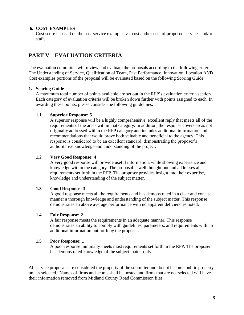#### **6. COST EXAMPLES**

Cost score is based on the past service examples vs. cost and/or cost of proposed services and/or staff.

# **PART V – EVALUATION CRITERIA**

The evaluation committee will review and evaluate the proposals according to the following criteria. The Understanding of Service, Qualification of Team, Past Performance, Innovation, Location AND Cost examples portions of the proposal will be evaluated based on the following Scoring Guide.

#### **1. Scoring Guide**

A maximum total number of points available are set out in the RFP's evaluation criteria section. Each category of evaluation criteria will be broken down further with points assigned to each. In awarding these points, please consider the following guidelines:

#### **1.1. Superior Response: 5**

A superior response will be a highly comprehensive, excellent reply that meets all of the requirements of the areas within that category. In addition, the response covers areas not originally addressed within the RFP category and includes additional information and recommendations that would prove both valuable and beneficial to the agency. This response is considered to be an excellent standard, demonstrating the proposer's authoritative knowledge and understanding of the project.

#### **1.2 Very Good Response: 4**

A very good response will provide useful information, while showing experience and knowledge within the category. The proposal is well thought out and addresses all requirements set forth in the RFP. The proposer provides insight into their expertise, knowledge and understanding of the subject matter.

## **1.3 Good Response: 3**

A good response meets all the requirements and has demonstrated in a clear and concise manner a thorough knowledge and understanding of the subject matter. This response demonstrates an above average performance with no apparent deficiencies noted.

## **1.4 Fair Response: 2**

A fair response meets the requirements in an adequate manner. This response demonstrates an ability to comply with guidelines, parameters, and requirements with no additional information put forth by the proposer.

#### **1.5 Poor Response: 1**

A poor response minimally meets most requirements set forth in the RFP. The proposer has demonstrated knowledge of the subject matter only.

All service proposals are considered the property of the submitter and do not become public property unless selected. Names of firms and scores shall be posted and firms that are not selected will have their information removed from Midland County Road Commission files.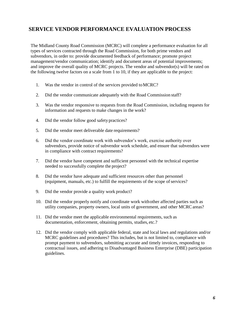# **SERVICE VENDOR PERFORMANCE EVALUATION PROCESS**

The Midland County Road Commission (MCRC) will complete a performance evaluation for all types of services contracted through the Road Commission, for both prime vendors and subvendors, in order to: provide documented feedback of performance; promote project management/vendor communication; identify and document areas of potential improvements; and improve the overall quality of MCRC projects. The vendor and subvendor(s) will be rated on the following twelve factors on a scale from 1 to 10, if they are applicable to the project:

- 1. Was the vendor in control of the services provided toMCRC?
- 2. Did the vendor communicate adequately with the Road Commission staff?
- 3. Was the vendor responsive to requests from the Road Commission, including requests for information and requests to make changes in the work?
- 4. Did the vendor follow good safety practices?
- 5. Did the vendor meet deliverable date requirements?
- 6. Did the vendor coordinate work with subvendor's work, exercise authority over subvendors, provide notice of subvendor work schedule, and ensure that subvendors were in compliance with contract requirements?
- 7. Did the vendor have competent and sufficient personnel with the technical expertise needed to successfully complete the project?
- 8. Did the vendor have adequate and sufficient resources other than personnel (equipment, manuals, etc.) to fulfill the requirements of the scope of services?
- 9. Did the vendor provide a quality work product?
- 10. Did the vendor properly notify and coordinate work withother affected parties such as utility companies, property owners, local units of government, and other MCRC areas?
- 11. Did the vendor meet the applicable environmental requirements, such as documentation, enforcement, obtaining permits, studies, etc.?
- 12. Did the vendor comply with applicable federal, state and local laws and regulations and/or MCRC guidelines and procedures? This includes, but is not limited to, compliance with prompt payment to subvendors, submitting accurate and timely invoices, responding to contractual issues, and adhering to Disadvantaged Business Enterprise (DBE) participation guidelines.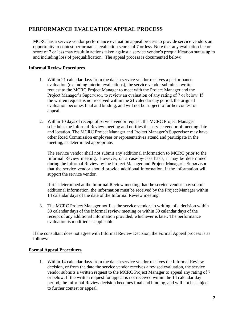# **PERFORMANCE EVALUATION APPEAL PROCESS**

MCRC has a service vendor performance evaluation appeal process to provide service vendors an opportunity to contest performance evaluation scores of 7 or less. Note that any evaluation factor score of 7 or less may result in actions taken against a service vendor's prequalification status up to and including loss of prequalification. The appeal process is documented below:

# **Informal Review Procedures**

- 1. Within 21 calendar days from the date a service vendor receives a performance evaluation (excluding interim evaluations), the service vendor submits a written request to the MCRC Project Manager to meet with the Project Manager and the Project Manager's Supervisor, to review an evaluation of any rating of 7 or below. If the written request is not received within the 21 calendar day period, the original evaluation becomes final and binding, and will not be subject to further contest or appeal.
- 2. Within 10 days of receipt of service vendor request, the MCRC Project Manager schedules the Informal Review meeting and notifies the service vendor of meeting date and location. The MCRC Project Manager and Project Manager's Supervisor may have other Road Commission employees or representatives attend and participate in the meeting, as determined appropriate.

The service vendor shall not submit any additional information to MCRC prior to the Informal Review meeting. However, on a case-by-case basis, it may be determined during the Informal Review by the Project Manager and Project Manager's Supervisor that the service vendor should provide additional information, if the information will support the service vendor.

If it is determined at the Informal Review meeting that the service vendor may submit additional information, the information must be received by the Project Manager within 14 calendar days of the date of the Informal Review meeting.

3. The MCRC Project Manager notifies the service vendor, in writing, of a decision within 30 calendar days of the informal review meeting or within 30 calendar days of the receipt of any additional information provided, whichever is later. The performance evaluation is modified as applicable.

If the consultant does not agree with Informal Review Decision, the Formal Appeal process is as follows:

## **Formal Appeal Procedures**

1. Within 14 calendar days from the date a service vendor receives the Informal Review decision, or from the date the service vendor receives a revised evaluation, the service vendor submits a written request to the MCRC Project Manager to appeal any rating of 7 or below. If the written request for appeal is not received within the 14 calendar day period, the Informal Review decision becomes final and binding, and will not be subject to further contest or appeal.